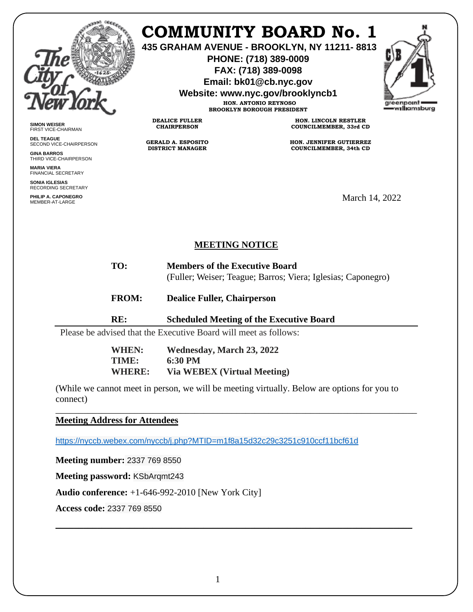

## **COMMUNITY BOARD No. 1**

**435 GRAHAM AVENUE - BROOKLYN, NY 11211- 8813**

**PHONE: (718) 389-0009 FAX: (718) 389-0098**

**Email: bk01@cb.nyc.gov**

**Website: www.nyc.gov/brooklyncb1**

**HON. ANTONIO REYNOSO BROOKLYN BOROUGH PRESIDENT**



**SIMON WEISER** FIRST VICE-CHAIRMAN

**DEL TEAGUE** SECOND VICE-CHAIRPERSON

**GINA BARROS** THIRD VICE-CHAIRPERSON

**MARIA VIERA** FINANCIAL SECRETARY

**SONIA IGLESIAS** RECORDING SECRETARY

**PHILIP A. CAPONEGRO** PHILIP A. CAPONEGRO<br>MEMBER-AT-LARGE MARCH 2022

**HON. LINCOLN RESTLER COUNCILMEMBER, 33rd CD**

**HON. JENNIFER GUTIERREZ COUNCILMEMBER, 34th CD**

## **MEETING NOTICE**

- **TO: Members of the Executive Board** (Fuller; Weiser; Teague; Barros; Viera; Iglesias; Caponegro)
- **FROM: Dealice Fuller, Chairperson**
- **RE: Scheduled Meeting of the Executive Board**

Please be advised that the Executive Board will meet as follows:

**DEALICE FULLER CHAIRPERSON**

**GERALD A. ESPOSITO DISTRICT MANAGER**

| <b>WHEN:</b>  | <b>Wednesday, March 23, 2022</b>   |
|---------------|------------------------------------|
| TIME:         | 6:30 PM                            |
| <b>WHERE:</b> | <b>Via WEBEX (Virtual Meeting)</b> |

(While we cannot meet in person, we will be meeting virtually. Below are options for you to connect)

\_\_\_\_\_\_\_\_\_\_\_\_\_\_\_\_\_\_\_\_\_\_\_\_\_\_\_\_\_\_\_\_\_\_\_\_\_\_\_\_\_\_\_\_\_\_\_\_\_\_\_\_\_\_\_\_\_\_\_\_\_\_\_\_\_\_\_\_\_\_\_\_\_\_\_\_\_\_

\_\_\_\_\_\_\_\_\_\_\_\_\_\_\_\_\_\_\_\_\_\_\_\_\_\_\_\_\_\_\_\_\_\_\_\_\_\_\_\_\_\_\_\_\_\_\_\_\_\_\_\_\_\_\_\_\_\_\_\_\_\_\_\_\_\_\_\_\_\_\_\_\_\_\_\_\_

**Meeting Address for Attendees** 

<https://nyccb.webex.com/nyccb/j.php?MTID=m1f8a15d32c29c3251c910ccf11bcf61d>

**Meeting number:** 2337 769 8550

**Meeting password:** KSbArqmt243

**Audio conference:** +1-646-992-2010 [New York City]

**Access code:** 2337 769 8550